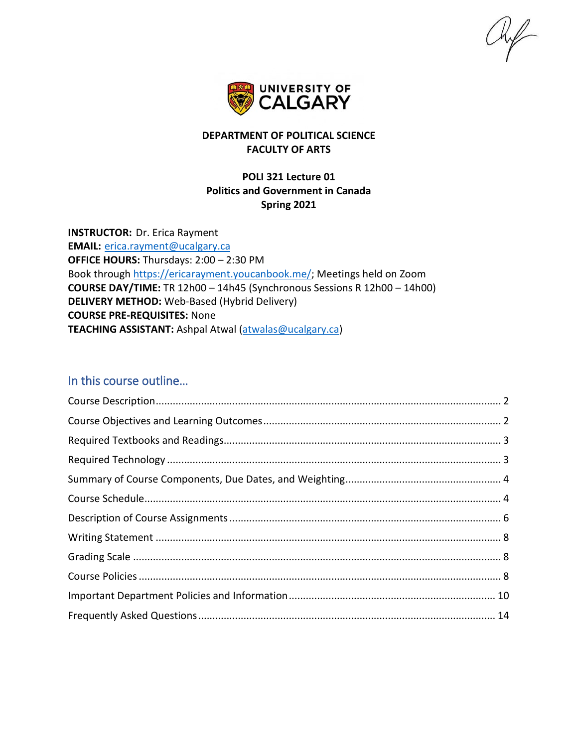$\mathbb{R}$ 



## **DEPARTMENT OF POLITICAL SCIENCE FACULTY OF ARTS**

## **POLI 321 Lecture 01 Politics and Government in Canada Spring 2021**

**INSTRUCTOR:** Dr. Erica Rayment **EMAIL:** [erica.rayment@ucalgary.ca](mailto:erica.rayment@ucalgary.ca) **OFFICE HOURS:** Thursdays: 2:00 – 2:30 PM Book through [https://ericarayment.youcanbook.me/;](https://ericarayment.youcanbook.me/) Meetings held on Zoom **COURSE DAY/TIME:** TR 12h00 – 14h45 (Synchronous Sessions R 12h00 – 14h00) **DELIVERY METHOD:** Web-Based (Hybrid Delivery) **COURSE PRE-REQUISITES:** None **TEACHING ASSISTANT:** Ashpal Atwal [\(atwalas@ucalgary.ca\)](mailto:atwalas@ucalgary.ca)

## In this course outline…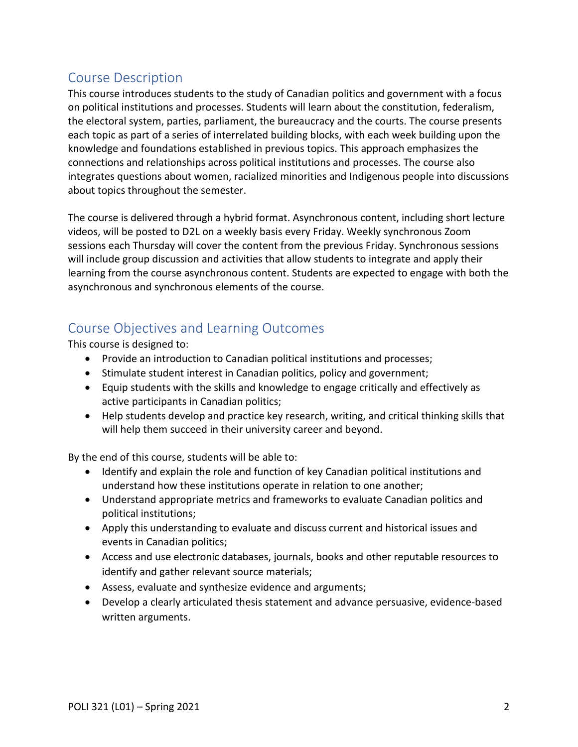# <span id="page-1-0"></span>Course Description

This course introduces students to the study of Canadian politics and government with a focus on political institutions and processes. Students will learn about the constitution, federalism, the electoral system, parties, parliament, the bureaucracy and the courts. The course presents each topic as part of a series of interrelated building blocks, with each week building upon the knowledge and foundations established in previous topics. This approach emphasizes the connections and relationships across political institutions and processes. The course also integrates questions about women, racialized minorities and Indigenous people into discussions about topics throughout the semester.

The course is delivered through a hybrid format. Asynchronous content, including short lecture videos, will be posted to D2L on a weekly basis every Friday. Weekly synchronous Zoom sessions each Thursday will cover the content from the previous Friday. Synchronous sessions will include group discussion and activities that allow students to integrate and apply their learning from the course asynchronous content. Students are expected to engage with both the asynchronous and synchronous elements of the course.

# <span id="page-1-1"></span>Course Objectives and Learning Outcomes

This course is designed to:

- Provide an introduction to Canadian political institutions and processes;
- Stimulate student interest in Canadian politics, policy and government;
- Equip students with the skills and knowledge to engage critically and effectively as active participants in Canadian politics;
- Help students develop and practice key research, writing, and critical thinking skills that will help them succeed in their university career and beyond.

By the end of this course, students will be able to:

- Identify and explain the role and function of key Canadian political institutions and understand how these institutions operate in relation to one another;
- Understand appropriate metrics and frameworks to evaluate Canadian politics and political institutions;
- Apply this understanding to evaluate and discuss current and historical issues and events in Canadian politics;
- Access and use electronic databases, journals, books and other reputable resources to identify and gather relevant source materials;
- Assess, evaluate and synthesize evidence and arguments;
- Develop a clearly articulated thesis statement and advance persuasive, evidence-based written arguments.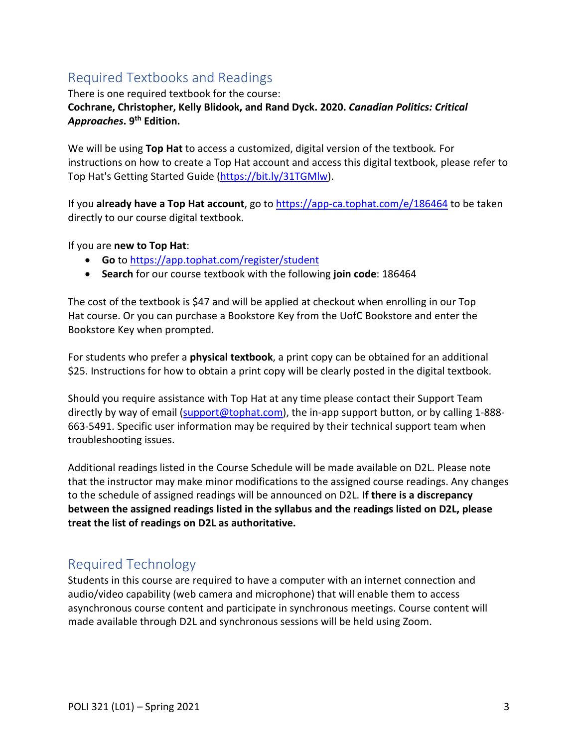# <span id="page-2-0"></span>Required Textbooks and Readings

There is one required textbook for the course:

## **Cochrane, Christopher, Kelly Blidook, and Rand Dyck. 2020.** *Canadian Politics: Critical Approaches***. 9th Edition.**

We will be using **Top Hat** to access a customized, digital version of the textbook*.* For instructions on how to create a Top Hat account and access this digital textbook, please refer to Top Hat's Getting Started Guide [\(https://bit.ly/31TGMlw\)](https://bit.ly/31TGMlw).

If you **already have a Top Hat account**, go to <https://app-ca.tophat.com/e/186464> to be taken directly to our course digital textbook.

If you are **new to Top Hat**:

- **Go** to <https://app.tophat.com/register/student>
- **Search** for our course textbook with the following **join code**: 186464

The cost of the textbook is \$47 and will be applied at checkout when enrolling in our Top Hat course. Or you can purchase a Bookstore Key from the UofC Bookstore and enter the Bookstore Key when prompted.

For students who prefer a **physical textbook**, a print copy can be obtained for an additional \$25. Instructions for how to obtain a print copy will be clearly posted in the digital textbook.

Should you require assistance with Top Hat at any time please contact their Support Team directly by way of email [\(support@tophat.com\)](mailto:support@tophat.com), the in-app support button, or by calling 1-888-663-5491. Specific user information may be required by their technical support team when troubleshooting issues.

Additional readings listed in the Course Schedule will be made available on D2L. Please note that the instructor may make minor modifications to the assigned course readings. Any changes to the schedule of assigned readings will be announced on D2L. **If there is a discrepancy between the assigned readings listed in the syllabus and the readings listed on D2L, please treat the list of readings on D2L as authoritative.**

# <span id="page-2-1"></span>Required Technology

Students in this course are required to have a computer with an internet connection and audio/video capability (web camera and microphone) that will enable them to access asynchronous course content and participate in synchronous meetings. Course content will made available through D2L and synchronous sessions will be held using Zoom.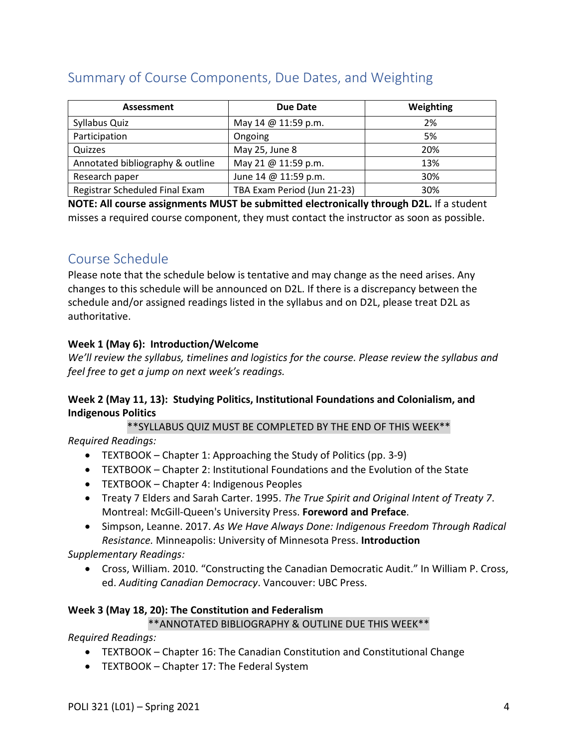# <span id="page-3-0"></span>Summary of Course Components, Due Dates, and Weighting

| Assessment                       | Due Date                    | Weighting |
|----------------------------------|-----------------------------|-----------|
| Syllabus Quiz                    | May 14 @ 11:59 p.m.         | 2%        |
| Participation                    | Ongoing                     | 5%        |
| Quizzes                          | May 25, June 8              | 20%       |
| Annotated bibliography & outline | May 21 @ 11:59 p.m.         | 13%       |
| Research paper                   | June 14 @ 11:59 p.m.        | 30%       |
| Registrar Scheduled Final Exam   | TBA Exam Period (Jun 21-23) | 30%       |

**NOTE: All course assignments MUST be submitted electronically through D2L.** If a student misses a required course component, they must contact the instructor as soon as possible.

# <span id="page-3-1"></span>Course Schedule

Please note that the schedule below is tentative and may change as the need arises. Any changes to this schedule will be announced on D2L. If there is a discrepancy between the schedule and/or assigned readings listed in the syllabus and on D2L, please treat D2L as authoritative.

## **Week 1 (May 6): Introduction/Welcome**

*We'll review the syllabus, timelines and logistics for the course. Please review the syllabus and feel free to get a jump on next week's readings.*

## **Week 2 (May 11, 13): Studying Politics, Institutional Foundations and Colonialism, and Indigenous Politics**

\*\*SYLLABUS QUIZ MUST BE COMPLETED BY THE END OF THIS WEEK\*\*

*Required Readings:*

- TEXTBOOK Chapter 1: Approaching the Study of Politics (pp. 3-9)
- TEXTBOOK Chapter 2: Institutional Foundations and the Evolution of the State
- TEXTBOOK Chapter 4: Indigenous Peoples
- Treaty 7 Elders and Sarah Carter. 1995. *The True Spirit and Original Intent of Treaty 7*. Montreal: McGill-Queen's University Press. **Foreword and Preface**.
- Simpson, Leanne. 2017. *As We Have Always Done: Indigenous Freedom Through Radical Resistance.* Minneapolis: University of Minnesota Press. **Introduction**

*Supplementary Readings:*

• Cross, William. 2010. "Constructing the Canadian Democratic Audit." In William P. Cross, ed. *Auditing Canadian Democracy*. Vancouver: UBC Press.

## **Week 3 (May 18, 20): The Constitution and Federalism**

## \*\*ANNOTATED BIBLIOGRAPHY & OUTLINE DUE THIS WEEK\*\*

*Required Readings:*

- TEXTBOOK Chapter 16: The Canadian Constitution and Constitutional Change
- TEXTBOOK Chapter 17: The Federal System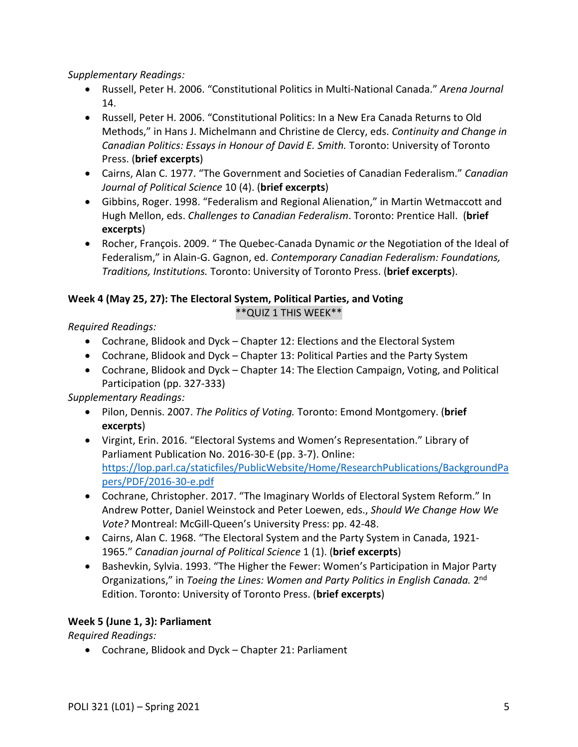*Supplementary Readings:*

- Russell, Peter H. 2006. "Constitutional Politics in Multi-National Canada." *Arena Journal* 14.
- Russell, Peter H. 2006. "Constitutional Politics: In a New Era Canada Returns to Old Methods," in Hans J. Michelmann and Christine de Clercy, eds. *Continuity and Change in Canadian Politics: Essays in Honour of David E. Smith.* Toronto: University of Toronto Press. (**brief excerpts**)
- Cairns, Alan C. 1977. "The Government and Societies of Canadian Federalism." *Canadian Journal of Political Science* 10 (4). (**brief excerpts**)
- Gibbins, Roger. 1998. "Federalism and Regional Alienation," in Martin Wetmaccott and Hugh Mellon, eds. *Challenges to Canadian Federalism*. Toronto: Prentice Hall. (**brief excerpts**)
- Rocher, François. 2009. " The Quebec-Canada Dynamic *or* the Negotiation of the Ideal of Federalism," in Alain-G. Gagnon, ed. *Contemporary Canadian Federalism: Foundations, Traditions, Institutions.* Toronto: University of Toronto Press. (**brief excerpts**).

## **Week 4 (May 25, 27): The Electoral System, Political Parties, and Voting**

\*\*QUIZ 1 THIS WEEK\*\*

*Required Readings:*

- Cochrane, Blidook and Dyck Chapter 12: Elections and the Electoral System
- Cochrane, Blidook and Dyck Chapter 13: Political Parties and the Party System
- Cochrane, Blidook and Dyck Chapter 14: The Election Campaign, Voting, and Political Participation (pp. 327-333)

*Supplementary Readings:*

- Pilon, Dennis. 2007. *The Politics of Voting.* Toronto: Emond Montgomery. (**brief excerpts**)
- Virgint, Erin. 2016. "Electoral Systems and Women's Representation." Library of Parliament Publication No. 2016-30-E (pp. 3-7). Online: [https://lop.parl.ca/staticfiles/PublicWebsite/Home/ResearchPublications/BackgroundPa](https://lop.parl.ca/staticfiles/PublicWebsite/Home/ResearchPublications/BackgroundPapers/PDF/2016-30-e.pdf) [pers/PDF/2016-30-e.pdf](https://lop.parl.ca/staticfiles/PublicWebsite/Home/ResearchPublications/BackgroundPapers/PDF/2016-30-e.pdf)
- Cochrane, Christopher. 2017. "The Imaginary Worlds of Electoral System Reform." In Andrew Potter, Daniel Weinstock and Peter Loewen, eds., *Should We Change How We Vote?* Montreal: McGill-Queen's University Press: pp. 42-48.
- Cairns, Alan C. 1968. "The Electoral System and the Party System in Canada, 1921- 1965." *Canadian journal of Political Science* 1 (1). (**brief excerpts**)
- Bashevkin, Sylvia. 1993. "The Higher the Fewer: Women's Participation in Major Party Organizations," in *Toeing the Lines: Women and Party Politics in English Canada.* 2nd Edition. Toronto: University of Toronto Press. (**brief excerpts**)

## **Week 5 (June 1, 3): Parliament**

*Required Readings:*

• Cochrane, Blidook and Dyck – Chapter 21: Parliament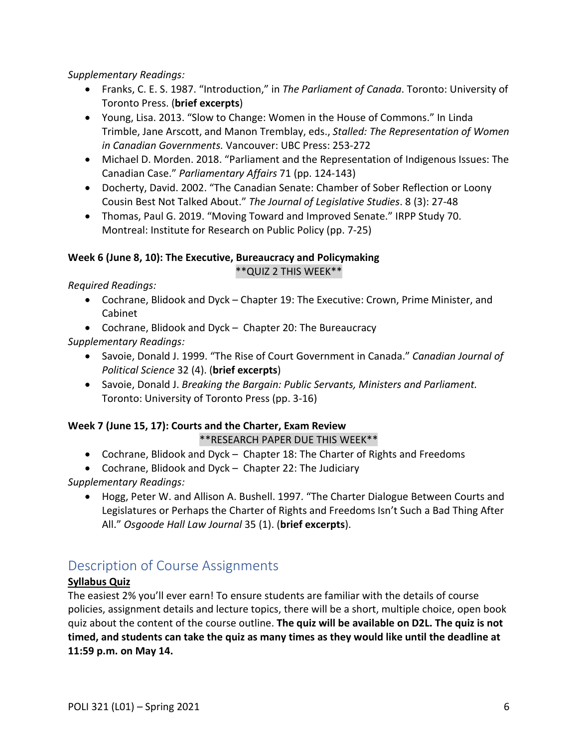*Supplementary Readings:*

- Franks, C. E. S. 1987. "Introduction," in *The Parliament of Canada*. Toronto: University of Toronto Press. (**brief excerpts**)
- Young, Lisa. 2013. "Slow to Change: Women in the House of Commons." In Linda Trimble, Jane Arscott, and Manon Tremblay, eds., *Stalled: The Representation of Women in Canadian Governments.* Vancouver: UBC Press: 253-272
- Michael D. Morden. 2018. "Parliament and the Representation of Indigenous Issues: The Canadian Case." *Parliamentary Affairs* 71 (pp. 124-143)
- Docherty, David. 2002. "The Canadian Senate: Chamber of Sober Reflection or Loony Cousin Best Not Talked About." *The Journal of Legislative Studies*. 8 (3): 27-48
- Thomas, Paul G. 2019. "Moving Toward and Improved Senate." IRPP Study 70. Montreal: Institute for Research on Public Policy (pp. 7-25)

## **Week 6 (June 8, 10): The Executive, Bureaucracy and Policymaking** \*\*QUIZ 2 THIS WEEK\*\*

*Required Readings:*

- Cochrane, Blidook and Dyck Chapter 19: The Executive: Crown, Prime Minister, and Cabinet
- Cochrane, Blidook and Dyck Chapter 20: The Bureaucracy

*Supplementary Readings:*

- Savoie, Donald J. 1999. "The Rise of Court Government in Canada." *Canadian Journal of Political Science* 32 (4). (**brief excerpts**)
- Savoie, Donald J. *Breaking the Bargain: Public Servants, Ministers and Parliament.* Toronto: University of Toronto Press (pp. 3-16)

# **Week 7 (June 15, 17): Courts and the Charter, Exam Review**

## \*\*RESEARCH PAPER DUE THIS WEEK\*\*

- Cochrane, Blidook and Dyck Chapter 18: The Charter of Rights and Freedoms
- Cochrane, Blidook and Dyck Chapter 22: The Judiciary

*Supplementary Readings:*

• Hogg, Peter W. and Allison A. Bushell. 1997. "The Charter Dialogue Between Courts and Legislatures or Perhaps the Charter of Rights and Freedoms Isn't Such a Bad Thing After All." *Osgoode Hall Law Journal* 35 (1). (**brief excerpts**).

# <span id="page-5-0"></span>Description of Course Assignments

## **Syllabus Quiz**

The easiest 2% you'll ever earn! To ensure students are familiar with the details of course policies, assignment details and lecture topics, there will be a short, multiple choice, open book quiz about the content of the course outline. **The quiz will be available on D2L. The quiz is not timed, and students can take the quiz as many times as they would like until the deadline at 11:59 p.m. on May 14.**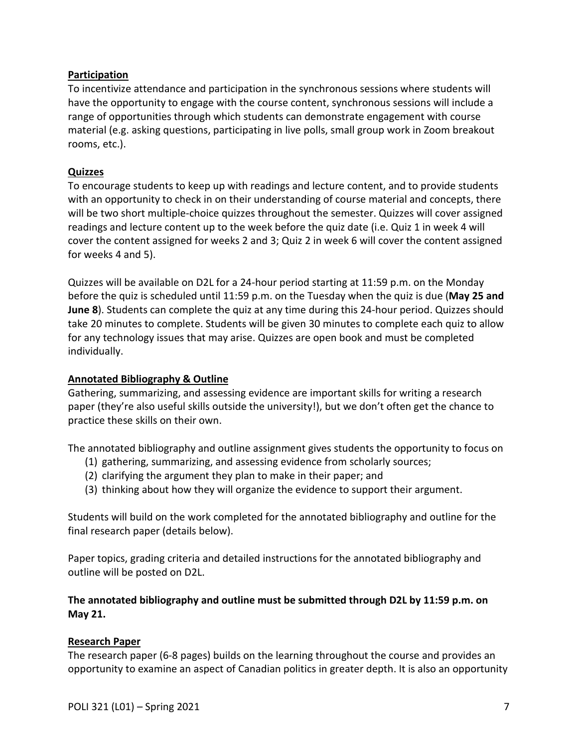## **Participation**

To incentivize attendance and participation in the synchronous sessions where students will have the opportunity to engage with the course content, synchronous sessions will include a range of opportunities through which students can demonstrate engagement with course material (e.g. asking questions, participating in live polls, small group work in Zoom breakout rooms, etc.).

## **Quizzes**

To encourage students to keep up with readings and lecture content, and to provide students with an opportunity to check in on their understanding of course material and concepts, there will be two short multiple-choice quizzes throughout the semester. Quizzes will cover assigned readings and lecture content up to the week before the quiz date (i.e. Quiz 1 in week 4 will cover the content assigned for weeks 2 and 3; Quiz 2 in week 6 will cover the content assigned for weeks 4 and 5).

Quizzes will be available on D2L for a 24-hour period starting at 11:59 p.m. on the Monday before the quiz is scheduled until 11:59 p.m. on the Tuesday when the quiz is due (**May 25 and June 8**). Students can complete the quiz at any time during this 24-hour period. Quizzes should take 20 minutes to complete. Students will be given 30 minutes to complete each quiz to allow for any technology issues that may arise. Quizzes are open book and must be completed individually.

## **Annotated Bibliography & Outline**

Gathering, summarizing, and assessing evidence are important skills for writing a research paper (they're also useful skills outside the university!), but we don't often get the chance to practice these skills on their own.

The annotated bibliography and outline assignment gives students the opportunity to focus on

- (1) gathering, summarizing, and assessing evidence from scholarly sources;
- (2) clarifying the argument they plan to make in their paper; and
- (3) thinking about how they will organize the evidence to support their argument.

Students will build on the work completed for the annotated bibliography and outline for the final research paper (details below).

Paper topics, grading criteria and detailed instructions for the annotated bibliography and outline will be posted on D2L.

## **The annotated bibliography and outline must be submitted through D2L by 11:59 p.m. on May 21.**

#### **Research Paper**

The research paper (6-8 pages) builds on the learning throughout the course and provides an opportunity to examine an aspect of Canadian politics in greater depth. It is also an opportunity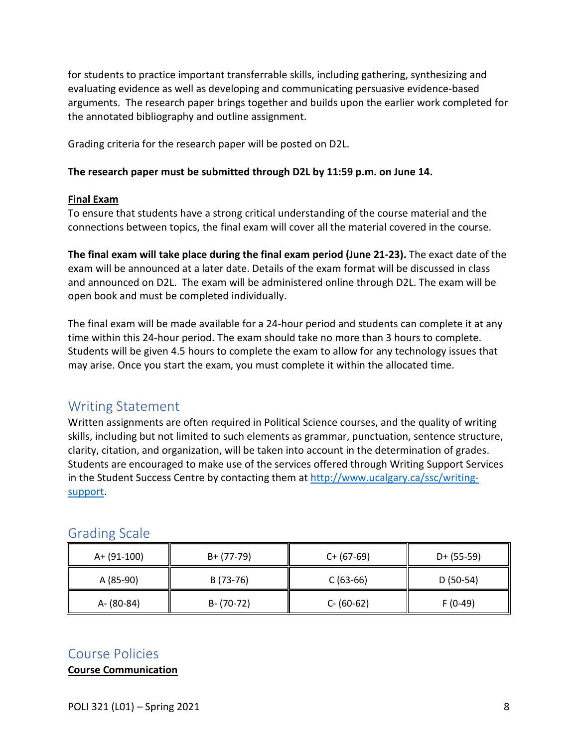for students to practice important transferrable skills, including gathering, synthesizing and evaluating evidence as well as developing and communicating persuasive evidence-based arguments. The research paper brings together and builds upon the earlier work completed for the annotated bibliography and outline assignment.

Grading criteria for the research paper will be posted on D2L.

#### **The research paper must be submitted through D2L by 11:59 p.m. on June 14.**

#### **Final Exam**

To ensure that students have a strong critical understanding of the course material and the connections between topics, the final exam will cover all the material covered in the course.

**The final exam will take place during the final exam period (June 21-23).** The exact date of the exam will be announced at a later date. Details of the exam format will be discussed in class and announced on D2L. The exam will be administered online through D2L. The exam will be open book and must be completed individually.

The final exam will be made available for a 24-hour period and students can complete it at any time within this 24-hour period. The exam should take no more than 3 hours to complete. Students will be given 4.5 hours to complete the exam to allow for any technology issues that may arise. Once you start the exam, you must complete it within the allocated time.

## <span id="page-7-0"></span>Writing Statement

Written assignments are often required in Political Science courses, and the quality of writing skills, including but not limited to such elements as grammar, punctuation, sentence structure, clarity, citation, and organization, will be taken into account in the determination of grades. Students are encouraged to make use of the services offered through Writing Support Services in the Student Success Centre by contacting them at [http://www.ucalgary.ca/ssc/writing](http://www.ucalgary.ca/ssc/writing-support)[support.](http://www.ucalgary.ca/ssc/writing-support)

| A+ (91-100) | B+ (77-79)    | $C+ (67-69)$  | $D+ (55-59)$ |
|-------------|---------------|---------------|--------------|
| A (85-90)   | B (73-76)     | $C(63-66)$    | $D(50-54)$   |
| A- (80-84)  | $B - (70-72)$ | $C - (60-62)$ | $F(0-49)$    |

## <span id="page-7-1"></span>Grading Scale

## <span id="page-7-2"></span>Course Policies

**Course Communication**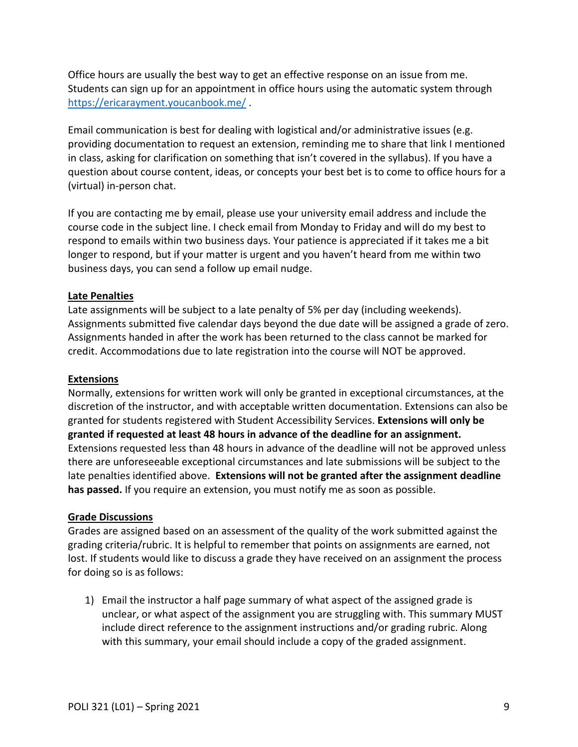Office hours are usually the best way to get an effective response on an issue from me. Students can sign up for an appointment in office hours using the automatic system through <https://ericarayment.youcanbook.me/> .

Email communication is best for dealing with logistical and/or administrative issues (e.g. providing documentation to request an extension, reminding me to share that link I mentioned in class, asking for clarification on something that isn't covered in the syllabus). If you have a question about course content, ideas, or concepts your best bet is to come to office hours for a (virtual) in-person chat.

If you are contacting me by email, please use your university email address and include the course code in the subject line. I check email from Monday to Friday and will do my best to respond to emails within two business days. Your patience is appreciated if it takes me a bit longer to respond, but if your matter is urgent and you haven't heard from me within two business days, you can send a follow up email nudge.

## **Late Penalties**

Late assignments will be subject to a late penalty of 5% per day (including weekends). Assignments submitted five calendar days beyond the due date will be assigned a grade of zero. Assignments handed in after the work has been returned to the class cannot be marked for credit. Accommodations due to late registration into the course will NOT be approved.

### **Extensions**

Normally, extensions for written work will only be granted in exceptional circumstances, at the discretion of the instructor, and with acceptable written documentation. Extensions can also be granted for students registered with Student Accessibility Services. **Extensions will only be granted if requested at least 48 hours in advance of the deadline for an assignment.** Extensions requested less than 48 hours in advance of the deadline will not be approved unless there are unforeseeable exceptional circumstances and late submissions will be subject to the late penalties identified above. **Extensions will not be granted after the assignment deadline has passed.** If you require an extension, you must notify me as soon as possible.

#### **Grade Discussions**

Grades are assigned based on an assessment of the quality of the work submitted against the grading criteria/rubric. It is helpful to remember that points on assignments are earned, not lost. If students would like to discuss a grade they have received on an assignment the process for doing so is as follows:

1) Email the instructor a half page summary of what aspect of the assigned grade is unclear, or what aspect of the assignment you are struggling with. This summary MUST include direct reference to the assignment instructions and/or grading rubric. Along with this summary, your email should include a copy of the graded assignment.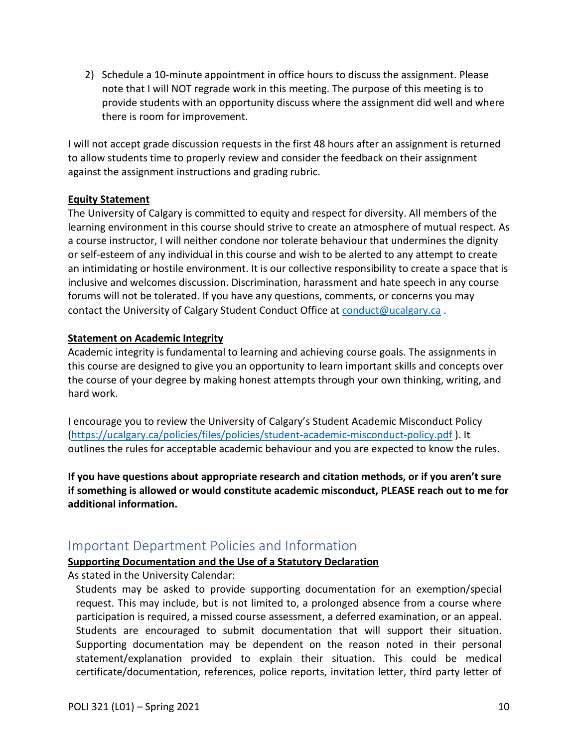2) Schedule a 10-minute appointment in office hours to discuss the assignment. Please note that I will NOT regrade work in this meeting. The purpose of this meeting is to provide students with an opportunity discuss where the assignment did well and where there is room for improvement.

I will not accept grade discussion requests in the first 48 hours after an assignment is returned to allow students time to properly review and consider the feedback on their assignment against the assignment instructions and grading rubric.

#### **Equity Statement**

The University of Calgary is committed to equity and respect for diversity. All members of the learning environment in this course should strive to create an atmosphere of mutual respect. As a course instructor, I will neither condone nor tolerate behaviour that undermines the dignity or self-esteem of any individual in this course and wish to be alerted to any attempt to create an intimidating or hostile environment. It is our collective responsibility to create a space that is inclusive and welcomes discussion. Discrimination, harassment and hate speech in any course forums will not be tolerated. If you have any questions, comments, or concerns you may contact the University of Calgary Student Conduct Office at [conduct@ucalgary.ca](mailto:conduct@ucalgary.ca).

## **Statement on Academic Integrity**

Academic integrity is fundamental to learning and achieving course goals. The assignments in this course are designed to give you an opportunity to learn important skills and concepts over the course of your degree by making honest attempts through your own thinking, writing, and hard work.

I encourage you to review the University of Calgary's Student Academic Misconduct Policy [\(https://ucalgary.ca/policies/files/policies/student-academic-misconduct-policy.pdf](https://ucalgary.ca/policies/files/policies/student-academic-misconduct-policy.pdf) ). It outlines the rules for acceptable academic behaviour and you are expected to know the rules.

**If you have questions about appropriate research and citation methods, or if you aren't sure if something is allowed or would constitute academic misconduct, PLEASE reach out to me for additional information.** 

## <span id="page-9-0"></span>Important Department Policies and Information

## **Supporting Documentation and the Use of a Statutory Declaration**

As stated in the University Calendar:

Students may be asked to provide supporting documentation for an exemption/special request. This may include, but is not limited to, a prolonged absence from a course where participation is required, a missed course assessment, a deferred examination, or an appeal. Students are encouraged to submit documentation that will support their situation. Supporting documentation may be dependent on the reason noted in their personal statement/explanation provided to explain their situation. This could be medical certificate/documentation, references, police reports, invitation letter, third party letter of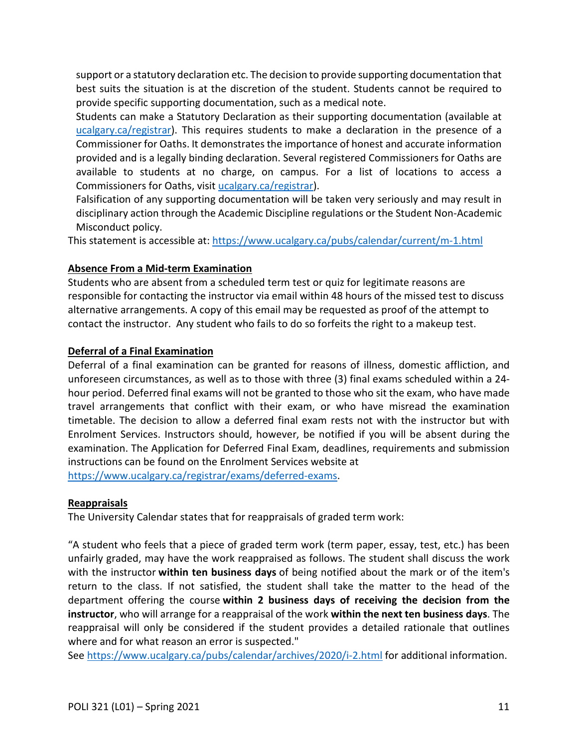support or a statutory declaration etc. The decision to provide supporting documentation that best suits the situation is at the discretion of the student. Students cannot be required to provide specific supporting documentation, such as a medical note.

Students can make a Statutory Declaration as their supporting documentation (available at [ucalgary.ca/registrar\)](http://www.ucalgary.ca/registrar). This requires students to make a declaration in the presence of a Commissioner for Oaths. It demonstrates the importance of honest and accurate information provided and is a legally binding declaration. Several registered Commissioners for Oaths are available to students at no charge, on campus. For a list of locations to access a Commissioners for Oaths, visit [ucalgary.ca/registrar\)](http://www.ucalgary.ca/registrar).

Falsification of any supporting documentation will be taken very seriously and may result in disciplinary action through the Academic Discipline regulations or the Student Non-Academic Misconduct policy.

This statement is accessible at:<https://www.ucalgary.ca/pubs/calendar/current/m-1.html>

## **Absence From a Mid-term Examination**

Students who are absent from a scheduled term test or quiz for legitimate reasons are responsible for contacting the instructor via email within 48 hours of the missed test to discuss alternative arrangements. A copy of this email may be requested as proof of the attempt to contact the instructor. Any student who fails to do so forfeits the right to a makeup test.

## **Deferral of a Final Examination**

Deferral of a final examination can be granted for reasons of illness, domestic affliction, and unforeseen circumstances, as well as to those with three (3) final exams scheduled within a 24 hour period. Deferred final exams will not be granted to those who sit the exam, who have made travel arrangements that conflict with their exam, or who have misread the examination timetable. The decision to allow a deferred final exam rests not with the instructor but with Enrolment Services. Instructors should, however, be notified if you will be absent during the examination. The Application for Deferred Final Exam, deadlines, requirements and submission instructions can be found on the Enrolment Services website at [https://www.ucalgary.ca/registrar/exams/deferred-exams.](https://www.ucalgary.ca/registrar/exams/deferred-exams)

## **Reappraisals**

The University Calendar states that for reappraisals of graded term work:

"A student who feels that a piece of graded term work (term paper, essay, test, etc.) has been unfairly graded, may have the work reappraised as follows. The student shall discuss the work with the instructor **within ten business days** of being notified about the mark or of the item's return to the class. If not satisfied, the student shall take the matter to the head of the department offering the course **within 2 business days of receiving the decision from the instructor**, who will arrange for a reappraisal of the work **within the next ten business days**. The reappraisal will only be considered if the student provides a detailed rationale that outlines where and for what reason an error is suspected."

See <https://www.ucalgary.ca/pubs/calendar/archives/2020/i-2.html> for additional information.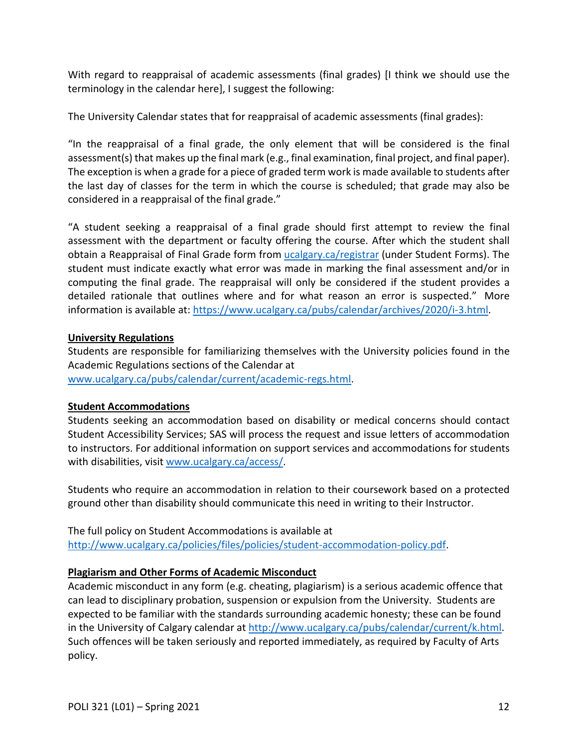With regard to reappraisal of academic assessments (final grades) [I think we should use the terminology in the calendar here], I suggest the following:

The University Calendar states that for reappraisal of academic assessments (final grades):

"In the reappraisal of a final grade, the only element that will be considered is the final assessment(s) that makes up the final mark (e.g., final examination, final project, and final paper). The exception is when a grade for a piece of graded term work is made available to students after the last day of classes for the term in which the course is scheduled; that grade may also be considered in a reappraisal of the final grade."

"A student seeking a reappraisal of a final grade should first attempt to review the final assessment with the department or faculty offering the course. After which the student shall obtain a Reappraisal of Final Grade form from [ucalgary.ca/registrar](https://www.ucalgary.ca/registrar/home) (under Student Forms). The student must indicate exactly what error was made in marking the final assessment and/or in computing the final grade. The reappraisal will only be considered if the student provides a detailed rationale that outlines where and for what reason an error is suspected." More information is available at: [https://www.ucalgary.ca/pubs/calendar/archives/2020/i-3.html.](https://www.ucalgary.ca/pubs/calendar/archives/2020/i-3.html)

## **University Regulations**

Students are responsible for familiarizing themselves with the University policies found in the Academic Regulations sections of the Calendar at [www.ucalgary.ca/pubs/calendar/current/academic-regs.html.](http://www.ucalgary.ca/pubs/calendar/current/academic-regs.html)

## **Student Accommodations**

Students seeking an accommodation based on disability or medical concerns should contact Student Accessibility Services; SAS will process the request and issue letters of accommodation to instructors. For additional information on support services and accommodations for students with disabilities, visit [www.ucalgary.ca/access/.](http://www.ucalgary.ca/access/)

Students who require an accommodation in relation to their coursework based on a protected ground other than disability should communicate this need in writing to their Instructor.

The full policy on Student Accommodations is available at [http://www.ucalgary.ca/policies/files/policies/student-accommodation-policy.pdf.](http://www.ucalgary.ca/policies/files/policies/student-accommodation-policy.pdf)

## **Plagiarism and Other Forms of Academic Misconduct**

Academic misconduct in any form (e.g. cheating, plagiarism) is a serious academic offence that can lead to disciplinary probation, suspension or expulsion from the University. Students are expected to be familiar with the standards surrounding academic honesty; these can be found in the University of Calgary calendar at [http://www.ucalgary.ca/pubs/calendar/current/k.html.](http://www.ucalgary.ca/pubs/calendar/current/k.html) Such offences will be taken seriously and reported immediately, as required by Faculty of Arts policy.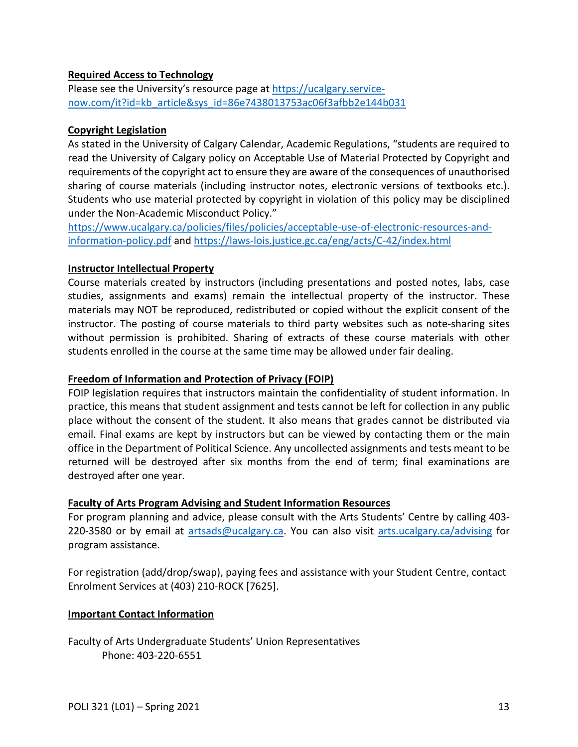## **Required Access to Technology**

Please see the University's resource page at [https://ucalgary.service](https://ucalgary.service-now.com/it?id=kb_article&sys_id=86e7438013753ac06f3afbb2e144b031)[now.com/it?id=kb\\_article&sys\\_id=86e7438013753ac06f3afbb2e144b031](https://ucalgary.service-now.com/it?id=kb_article&sys_id=86e7438013753ac06f3afbb2e144b031)

### **Copyright Legislation**

As stated in the University of Calgary Calendar, Academic Regulations, "students are required to read the University of Calgary policy on Acceptable Use of Material Protected by Copyright and requirements of the copyright act to ensure they are aware of the consequences of unauthorised sharing of course materials (including instructor notes, electronic versions of textbooks etc.). Students who use material protected by copyright in violation of this policy may be disciplined under the Non-Academic Misconduct Policy."

[https://www.ucalgary.ca/policies/files/policies/acceptable-use-of-electronic-resources-and](https://www.ucalgary.ca/policies/files/policies/acceptable-use-of-electronic-resources-and-information-policy.pdf)[information-policy.pdf](https://www.ucalgary.ca/policies/files/policies/acceptable-use-of-electronic-resources-and-information-policy.pdf) and<https://laws-lois.justice.gc.ca/eng/acts/C-42/index.html>

#### **Instructor Intellectual Property**

Course materials created by instructors (including presentations and posted notes, labs, case studies, assignments and exams) remain the intellectual property of the instructor. These materials may NOT be reproduced, redistributed or copied without the explicit consent of the instructor. The posting of course materials to third party websites such as note-sharing sites without permission is prohibited. Sharing of extracts of these course materials with other students enrolled in the course at the same time may be allowed under fair dealing.

#### **Freedom of Information and Protection of Privacy (FOIP)**

FOIP legislation requires that instructors maintain the confidentiality of student information. In practice, this means that student assignment and tests cannot be left for collection in any public place without the consent of the student. It also means that grades cannot be distributed via email. Final exams are kept by instructors but can be viewed by contacting them or the main office in the Department of Political Science. Any uncollected assignments and tests meant to be returned will be destroyed after six months from the end of term; final examinations are destroyed after one year.

#### **Faculty of Arts Program Advising and Student Information Resources**

For program planning and advice, please consult with the Arts Students' Centre by calling 403 220-3580 or by email at [artsads@ucalgary.ca.](mailto:artsads@ucalgary.ca) You can also visit [arts.ucalgary.ca/advising](http://arts.ucalgary.ca/advising) for program assistance.

For registration (add/drop/swap), paying fees and assistance with your Student Centre, contact Enrolment Services at (403) 210-ROCK [7625].

#### **Important Contact Information**

Faculty of Arts Undergraduate Students' Union Representatives Phone: 403-220-6551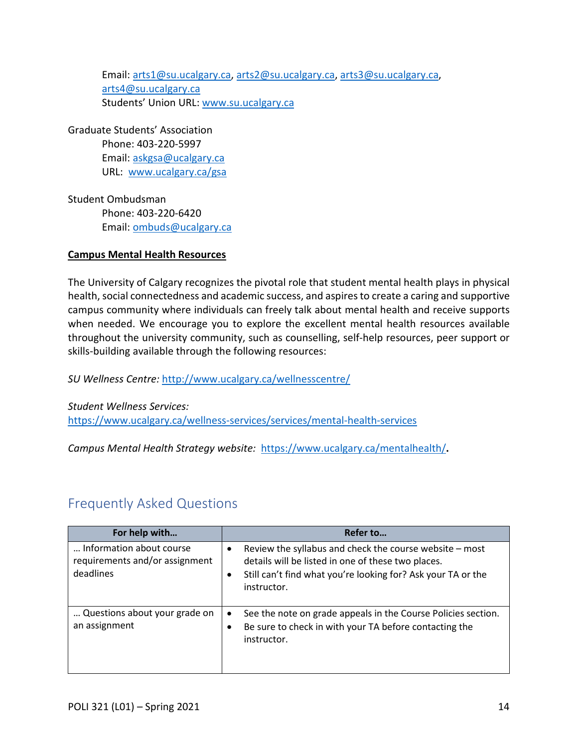Email: [arts1@su.ucalgary.ca,](mailto:arts1@su.ucalgary.ca) [arts2@su.ucalgary.ca,](mailto:arts2@su.ucalgary.ca) [arts3@su.ucalgary.ca,](mailto:arts3@su.ucalgary.ca) [arts4@su.ucalgary.ca](mailto:arts4@su.ucalgary.ca) Students' Union URL: [www.su.ucalgary.ca](http://www.su.ucalgary.ca/)

Graduate Students' Association Phone: 403-220-5997 Email: [askgsa@ucalgary.ca](mailto:askgsa@ucalgary.ca) URL: [www.ucalgary.ca/gsa](http://www.ucalgary.ca/gsa)

Student Ombudsman Phone: 403-220-6420 Email: [ombuds@ucalgary.ca](mailto:ombuds@ucalgary.ca)

## **Campus Mental Health Resources**

The University of Calgary recognizes the pivotal role that student mental health plays in physical health, social connectedness and academic success, and aspires to create a caring and supportive campus community where individuals can freely talk about mental health and receive supports when needed. We encourage you to explore the excellent mental health resources available throughout the university community, such as counselling, self-help resources, peer support or skills-building available through the following resources:

*SU Wellness Centre:* <http://www.ucalgary.ca/wellnesscentre/>

*Student Wellness Services:* <https://www.ucalgary.ca/wellness-services/services/mental-health-services>

<span id="page-13-0"></span>*Campus Mental Health Strategy website:* <https://www.ucalgary.ca/mentalhealth/>**.**

# Frequently Asked Questions

| For help with                                                           | Refer to                                                                                                                                                                                                  |
|-------------------------------------------------------------------------|-----------------------------------------------------------------------------------------------------------------------------------------------------------------------------------------------------------|
| Information about course<br>requirements and/or assignment<br>deadlines | Review the syllabus and check the course website - most<br>$\bullet$<br>details will be listed in one of these two places.<br>Still can't find what you're looking for? Ask your TA or the<br>instructor. |
| Questions about your grade on<br>an assignment                          | See the note on grade appeals in the Course Policies section.<br>$\bullet$<br>Be sure to check in with your TA before contacting the<br>instructor.                                                       |